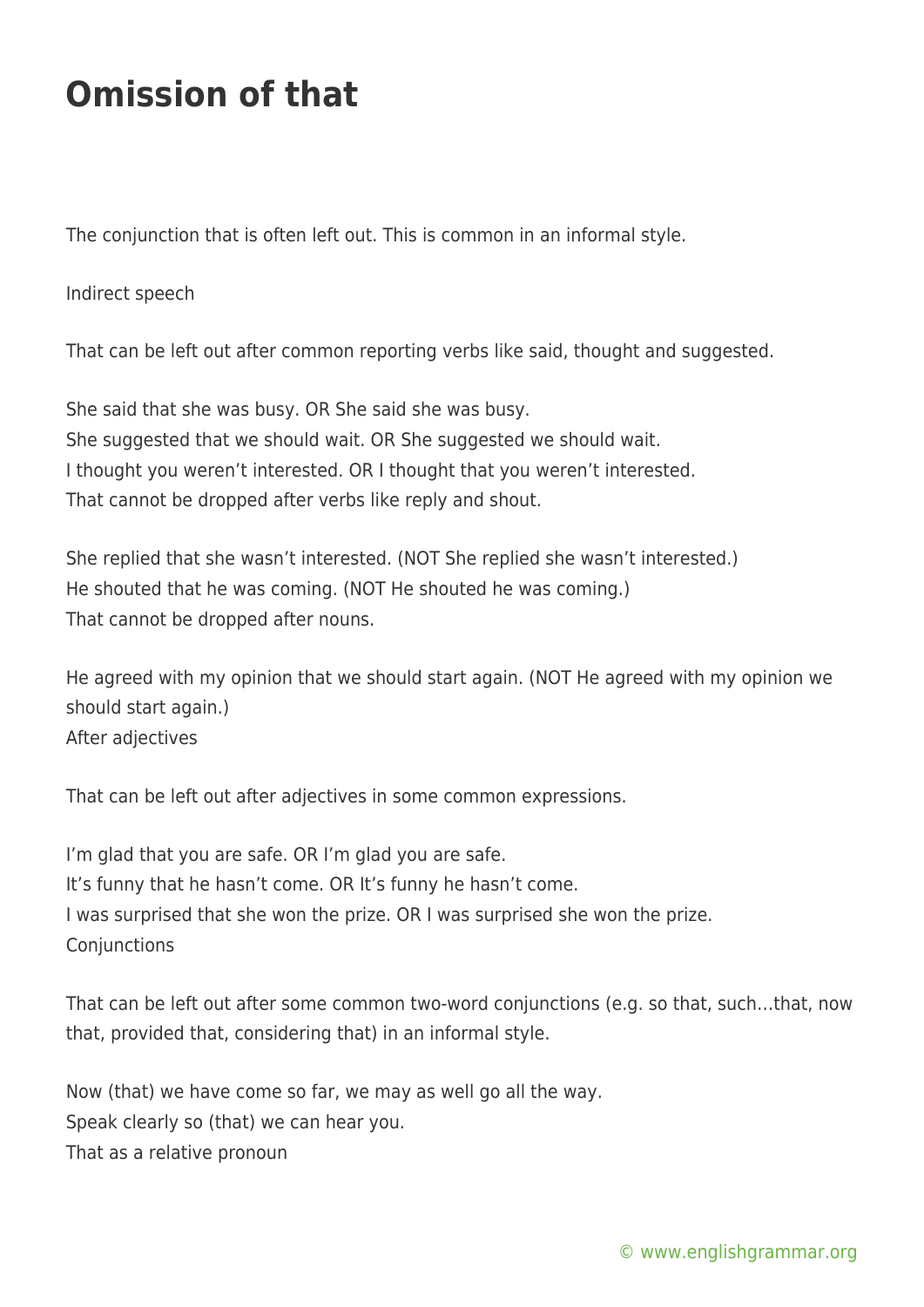## **Omission of that**

The conjunction that is often left out. This is common in an informal style.

Indirect speech

That can be left out after common reporting verbs like said, thought and suggested.

She said that she was busy. OR She said she was busy. She suggested that we should wait. OR She suggested we should wait. I thought you weren't interested. OR I thought that you weren't interested. That cannot be dropped after verbs like reply and shout.

She replied that she wasn't interested. (NOT She replied she wasn't interested.) He shouted that he was coming. (NOT He shouted he was coming.) That cannot be dropped after nouns.

He agreed with my opinion that we should start again. (NOT He agreed with my opinion we should start again.) After adjectives

That can be left out after adjectives in some common expressions.

I'm glad that you are safe. OR I'm glad you are safe. It's funny that he hasn't come. OR It's funny he hasn't come. I was surprised that she won the prize. OR I was surprised she won the prize. **Conjunctions** 

That can be left out after some common two-word conjunctions (e.g. so that, such…that, now that, provided that, considering that) in an informal style.

Now (that) we have come so far, we may as well go all the way. Speak clearly so (that) we can hear you. That as a relative pronoun